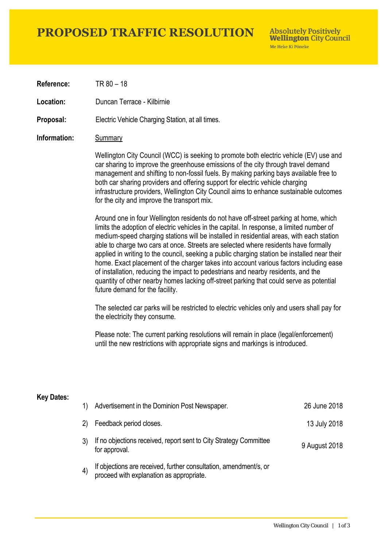# **PROPOSED TRAFFIC RESOLUTION**

**Absolutely Positively Wellington City Council** Me Heke Ki Pôneke

**Reference:** TR 80 – 18

**Location:** Duncan Terrace - Kilbirnie

**Proposal:** Electric Vehicle Charging Station, at all times.

### **Information:** Summary

Wellington City Council (WCC) is seeking to promote both electric vehicle (EV) use and car sharing to improve the greenhouse emissions of the city through travel demand management and shifting to non-fossil fuels. By making parking bays available free to both car sharing providers and offering support for electric vehicle charging infrastructure providers, Wellington City Council aims to enhance sustainable outcomes for the city and improve the transport mix.

Around one in four Wellington residents do not have off-street parking at home, which limits the adoption of electric vehicles in the capital. In response, a limited number of medium-speed charging stations will be installed in residential areas, with each station able to charge two cars at once. Streets are selected where residents have formally applied in writing to the council, seeking a public charging station be installed near their home. Exact placement of the charger takes into account various factors including ease of installation, reducing the impact to pedestrians and nearby residents, and the quantity of other nearby homes lacking off-street parking that could serve as potential future demand for the facility.

The selected car parks will be restricted to electric vehicles only and users shall pay for the electricity they consume.

Please note: The current parking resolutions will remain in place (legal/enforcement) until the new restrictions with appropriate signs and markings is introduced.

#### **Key Dates:**

| 1)                | Advertisement in the Dominion Post Newspaper.                                                                 | 26 June 2018  |
|-------------------|---------------------------------------------------------------------------------------------------------------|---------------|
| 2)                | Feedback period closes.                                                                                       | 13 July 2018  |
|                   | If no objections received, report sent to City Strategy Committee<br>for approval.                            | 9 August 2018 |
| $\left( 4\right)$ | If objections are received, further consultation, amendment/s, or<br>proceed with explanation as appropriate. |               |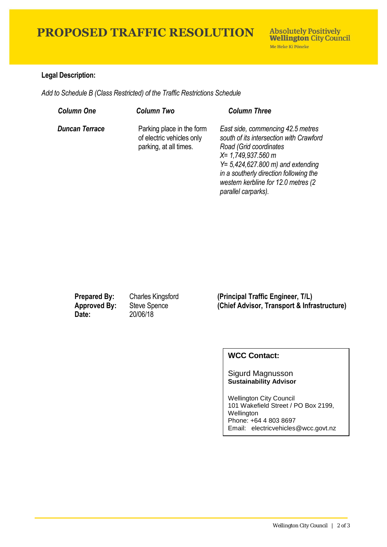# **PROPOSED TRAFFIC RESOLUTION**

## **Legal Description:**

*Add to Schedule B (Class Restricted) of the Traffic Restrictions Schedule* 

| <b>Column One</b>     | Column Two                                                                       | <b>Column Three</b>                                                                                                                                                                                                                                                              |
|-----------------------|----------------------------------------------------------------------------------|----------------------------------------------------------------------------------------------------------------------------------------------------------------------------------------------------------------------------------------------------------------------------------|
| <b>Duncan Terrace</b> | Parking place in the form<br>of electric vehicles only<br>parking, at all times. | East side, commencing 42.5 metres<br>south of its intersection with Crawford<br>Road (Grid coordinates<br>$X = 1,749,937.560$ m<br>$Y = 5,424,627.800$ m) and extending<br>in a southerly direction following the<br>western kerbline for 12.0 metres (2)<br>parallel carparks). |

**Date:** 20/06/18

**Prepared By:** Charles Kingsford **(Principal Traffic Engineer, T/L) Approved By:** Steve Spence **(Chief Advisor, Transport & Infrastructure)**

## **WCC Contact:**

#### Sigurd Magnusson **Sustainability Advisor**

Wellington City Council 101 Wakefield Street / PO Box 2199, Wellington Phone: +64 4 803 8697 Email: electricvehicles@wcc.govt.nz